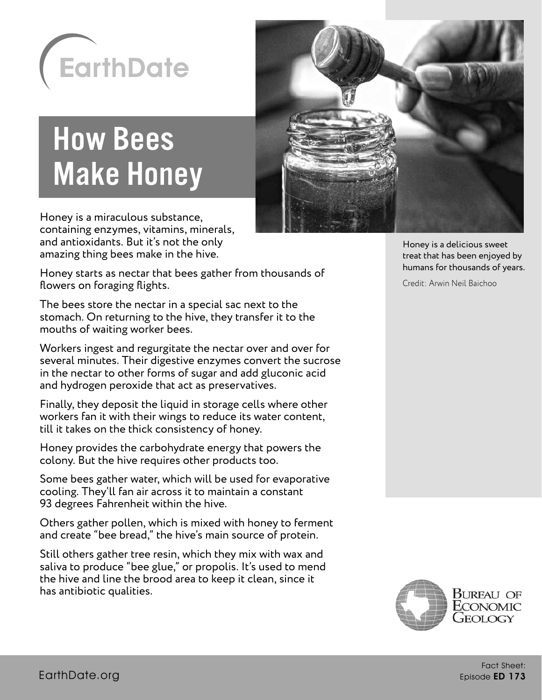

# How Bees Make Honey

Honey is a miraculous substance, containing enzymes, vitamins, minerals, and antioxidants. But it's not the only amazing thing bees make in the hive.

Honey starts as nectar that bees gather from thousands of flowers on foraging flights.

The bees store the nectar in a special sac next to the stomach. On returning to the hive, they transfer it to the mouths of waiting worker bees.

Workers ingest and regurgitate the nectar over and over for several minutes. Their digestive enzymes convert the sucrose in the nectar to other forms of sugar and add gluconic acid and hydrogen peroxide that act as preservatives.

Finally, they deposit the liquid in storage cells where other workers fan it with their wings to reduce its water content, till it takes on the thick consistency of honey.

Honey provides the carbohydrate energy that powers the colony. But the hive requires other products too.

Some bees gather water, which will be used for evaporative cooling. They'll fan air across it to maintain a constant 93 degrees Fahrenheit within the hive.

Others gather pollen, which is mixed with honey to ferment and create "bee bread," the hive's main source of protein.

Still others gather tree resin, which they mix with wax and saliva to produce "bee glue," or propolis. It's used to mend the hive and line the brood area to keep it clean, since it has antibiotic qualities.



Honey is a delicious sweet treat that has been enjoyed by humans for thousands of years.

Credit: Arwin Neil Baichoo

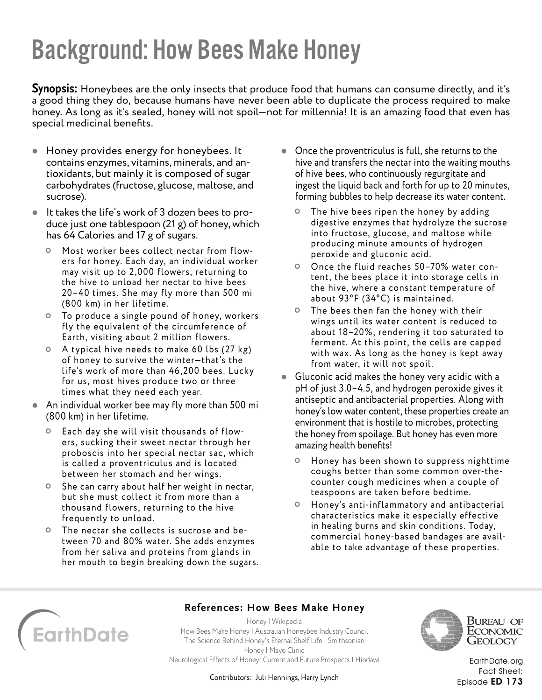## Background: How Bees Make Honey

**Synopsis:** Honeybees are the only insects that produce food that humans can consume directly, and it's a good thing they do, because humans have never been able to duplicate the process required to make honey. As long as it's sealed, honey will not spoil—not for millennia! It is an amazing food that even has special medicinal benefits.

- Honey provides energy for honeybees. It contains enzymes, vitamins, minerals, and antioxidants, but mainly it is composed of sugar carbohydrates (fructose, glucose, maltose, and sucrose).
- $\bullet$  It takes the life's work of 3 dozen bees to produce just one tablespoon (21 g) of honey, which has 64 Calories and 17 g of sugars.
	- Most worker bees collect nectar from flowers for honey. Each day, an individual worker may visit up to 2,000 flowers, returning to the hive to unload her nectar to hive bees 20–40 times. She may fly more than 500 mi (800 km) in her lifetime.
	- To produce a single pound of honey, workers fly the equivalent of the circumference of Earth, visiting about 2 million flowers.
	- A typical hive needs to make 60 lbs (27 kg) of honey to sur vive the winter—that's the life's work of more than 46, 200 bees. Lucky for us, most hives produce two or three times what they need each year.
- An individual worker bee may fly more than 500 mi (800 km) in her lifetime.
	- Each day she will visit thousands of flowers, sucking their sweet nectar through her proboscis into her special nectar sac, which is called a proventriculus and is located between her stomach and her wings.
	- <sup>O</sup> She can carry about half her weight in nectar, but she must collect it from more than a thousand flowers, returning to the hive frequently to unload.
	- The nectar she collects is sucrose and between 70 and 80% water. She adds enzymes from her saliva and proteins from glands in her mouth to begin breaking down the sugars.
- Once the proventriculus is full, she returns to the hive and transfers the nectar into the waiting mouths of hive bees, who continuously regurgitate and ingest the liquid back and forth for up to 20 minutes, forming bubbles to help decrease its water content.
	- The hive bees ripen the honey by adding digestive enzymes that hydrolyze the sucrose into fructose, glucose, and maltose while producing minute amounts of hydrogen peroxide and gluconic acid.
	- Once the fluid reaches 50–70% water content, the bees place it into storage cells in the hive, where a constant temperature of about 93°F (34°C) is maintained.
	- The bees then fan the honey with their wings until its water content is reduced to about 18–20%, rendering it too saturated to ferment. At this point, the cells are capped with wax. As long as the honey is kept away from water, it will not spoil.
- Gluconic acid makes the honey very acidic with a pH of just 3.0–4.5, and hydrogen peroxide gives it antiseptic and antibacterial properties. Along with honey's low water content, these properties create an environment that is hostile to microbes, protecting the honey from spoilage. But honey has even more amazing health benefits!
	- Honey has been shown to suppress nighttime coughs better than some common over-thecounter cough medicines when a couple of teaspoons are taken before bedtime.
	- Honey's anti-inflammator y and antibacterial characteristics make it especially effective in healing burns and skin conditions. Today, commercial honey-based bandages are available to take advantage of these properties.



#### **References: How Bees Make Honey**

[Honey | Wikipedia](https://en.wikipedia.org/wiki/Honey) [How Bees Make Honey | Australian Honeybee Industry Council](https://honeybee.org.au/education/wonderful-world-of-honey/how-bees-make-honey/) [The Science Behind Honey's Eternal Shelf Life | Smithsonian](https://www.smithsonianmag.com/science-nature/the-science-behind-honeys-eternal-shelf-life-1218690/) [Honey | Mayo Clinic](https://www.mayoclinic.org/drugs-supplements-honey/art-20363819) [Neurological Effects of Honey: Current and Future Prospects | Hindawi](https://www.hindawi.com/journals/ecam/2014/958721/)



Bureau of ECONOMIC Geology

Contributors: Juli Hennings, Harry Lynch

[EarthDate.org](http://www.earthdate.org) Fact Sheet: Episode ED 173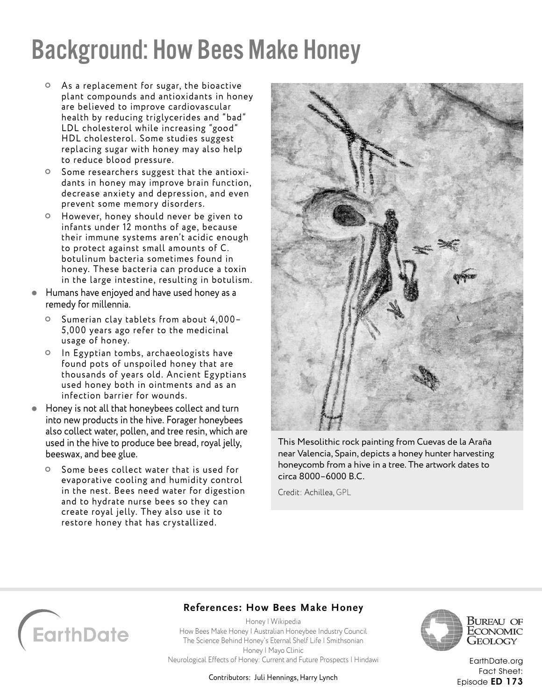### Background: How Bees Make Honey

- As a replacement for sugar, the bioactive plant compounds and antioxidants in honey are believed to improve cardiovascular health by reducing triglycerides and "bad" LDL cholesterol while increasing "good" HDL cholesterol. Some studies suggest replacing sugar with honey may also help to reduce blood pressure.
- O Some researchers suggest that the antioxidants in honey may improve brain function, decrease anxiety and depression, and even prevent some memory disorders.
- However, honey should never be given to infants under 12 months of age, because their immune systems aren't acidic enough to protect against small amounts of C. botulinum bacteria sometimes found in honey. These bacteria can produce a toxin in the large intestine, resulting in botulism.
- Humans have enjoyed and have used honey as a remedy for millennia.
	- Sumerian clay tablets from about 4,000– 5,000 years ago refer to the medicinal usage of honey.
	- o In Egyptian tombs, archaeologists have found pots of unspoiled honey that are thousands of years old. Ancient Egyptians used honey both in ointments and as an infection barrier for wounds.
- Honey is not all that honeybees collect and turn into new products in the hive. Forager honeybees also collect water, pollen, and tree resin, which are used in the hive to produce bee bread, royal jelly, beeswax, and bee glue.
	- O Some bees collect water that is used for evaporative cooling and humidity control in the nest. Bees need water for digestion and to hydrate nurse bees so they can create royal jelly. They also use it to restore honey that has crystallized.



This Mesolithic rock painting from Cuevas de la Araña near Valencia, Spain, depicts a honey hunter harvesting honeycomb from a hive in a tree. The artwork dates to circa 8000–6000 B.C.

Credit: Achillea, [GPL](http://www.gnu.org/licenses/gpl-3.0.html)



#### **References: How Bees Make Honey**

[Honey | Wikipedia](https://en.wikipedia.org/wiki/Honey) [How Bees Make Honey | Australian Honeybee Industry Council](https://honeybee.org.au/education/wonderful-world-of-honey/how-bees-make-honey/) [The Science Behind Honey's Eternal Shelf Life | Smithsonian](https://www.smithsonianmag.com/science-nature/the-science-behind-honeys-eternal-shelf-life-1218690/) [Honey | Mayo Clinic](https://www.mayoclinic.org/drugs-supplements-honey/art-20363819) [Neurological Effects of Honey: Current and Future Prospects | Hindawi](https://www.hindawi.com/journals/ecam/2014/958721/)

Bureau of ECONOMIC Geology

[EarthDate.org](http://www.earthdate.org) Fact Sheet: Episode ED 173

Contributors: Juli Hennings, Harry Lynch